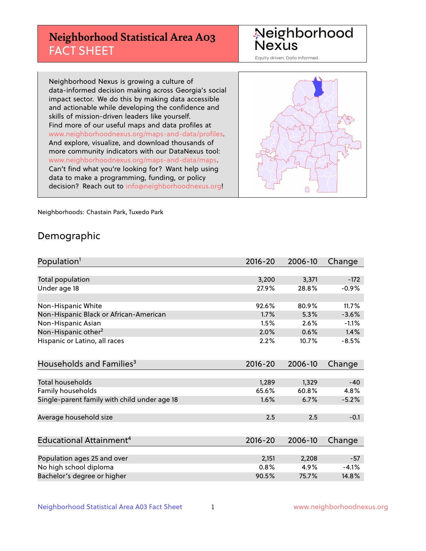## **Neighborhood Statistical Area A03** FACT SHEET

Neighborhood Nexus

Equity driven. Data informed.

Neighborhood Nexus is growing a culture of data-informed decision making across Georgia's social impact sector. We do this by making data accessible and actionable while developing the confidence and skills of mission-driven leaders like yourself. Find more of our useful maps and data profiles at www.neighborhoodnexus.org/maps-and-data/profiles. And explore, visualize, and download thousands of more community indicators with our DataNexus tool: www.neighborhoodnexus.org/maps-and-data/maps. Can't find what you're looking for? Want help using data to make a programming, funding, or policy decision? Reach out to [info@neighborhoodnexus.org!](mailto:info@neighborhoodnexus.org)



Neighborhoods: Chastain Park, Tuxedo Park

### Demographic

| Population <sup>1</sup>                      | 2016-20 | 2006-10 | Change  |
|----------------------------------------------|---------|---------|---------|
|                                              |         |         |         |
| <b>Total population</b>                      | 3,200   | 3,371   | $-172$  |
| Under age 18                                 | 27.9%   | 28.8%   | $-0.9%$ |
|                                              |         |         |         |
| Non-Hispanic White                           | 92.6%   | 80.9%   | 11.7%   |
| Non-Hispanic Black or African-American       | 1.7%    | 5.3%    | $-3.6%$ |
| Non-Hispanic Asian                           | 1.5%    | 2.6%    | $-1.1%$ |
| Non-Hispanic other <sup>2</sup>              | 2.0%    | 0.6%    | 1.4%    |
| Hispanic or Latino, all races                | 2.2%    | 10.7%   | $-8.5%$ |
|                                              |         |         |         |
| Households and Families <sup>3</sup>         | 2016-20 | 2006-10 | Change  |
|                                              |         |         |         |
| Total households                             | 1,289   | 1,329   | $-40$   |
| Family households                            | 65.6%   | 60.8%   | 4.8%    |
| Single-parent family with child under age 18 | 1.6%    | 6.7%    | $-5.2%$ |
|                                              |         |         |         |
| Average household size                       | 2.5     | 2.5     | $-0.1$  |
|                                              |         |         |         |
| Educational Attainment <sup>4</sup>          | 2016-20 | 2006-10 | Change  |
|                                              |         |         |         |
| Population ages 25 and over                  | 2,151   | 2,208   | $-57$   |
| No high school diploma                       | 0.8%    | 4.9%    | $-4.1%$ |
| Bachelor's degree or higher                  | 90.5%   | 75.7%   | 14.8%   |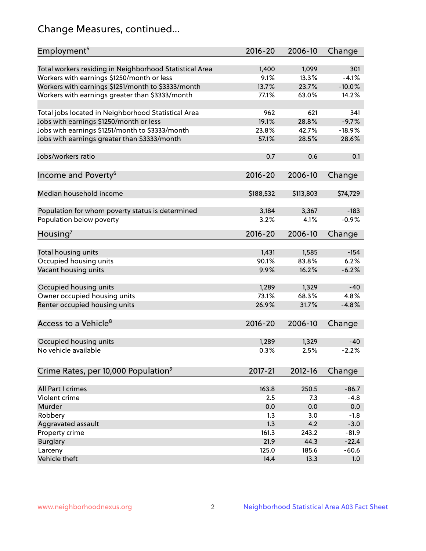## Change Measures, continued...

| Employment <sup>5</sup>                                 | $2016 - 20$ | 2006-10   | Change   |
|---------------------------------------------------------|-------------|-----------|----------|
|                                                         |             |           |          |
| Total workers residing in Neighborhood Statistical Area | 1,400       | 1,099     | 301      |
| Workers with earnings \$1250/month or less              | 9.1%        | 13.3%     | $-4.1%$  |
| Workers with earnings \$1251/month to \$3333/month      | 13.7%       | 23.7%     | $-10.0%$ |
| Workers with earnings greater than \$3333/month         | 77.1%       | 63.0%     | 14.2%    |
| Total jobs located in Neighborhood Statistical Area     | 962         | 621       | 341      |
| Jobs with earnings \$1250/month or less                 | 19.1%       | 28.8%     | $-9.7%$  |
| Jobs with earnings \$1251/month to \$3333/month         | 23.8%       | 42.7%     | $-18.9%$ |
| Jobs with earnings greater than \$3333/month            | 57.1%       | 28.5%     | 28.6%    |
|                                                         |             |           |          |
| Jobs/workers ratio                                      | 0.7         | 0.6       | 0.1      |
|                                                         |             |           |          |
| Income and Poverty <sup>6</sup>                         | 2016-20     | 2006-10   | Change   |
| Median household income                                 | \$188,532   | \$113,803 | \$74,729 |
|                                                         |             |           |          |
| Population for whom poverty status is determined        | 3,184       | 3,367     | $-183$   |
| Population below poverty                                | 3.2%        | 4.1%      | $-0.9%$  |
|                                                         |             |           |          |
| Housing <sup>7</sup>                                    | 2016-20     | 2006-10   | Change   |
| Total housing units                                     | 1,431       | 1,585     | $-154$   |
|                                                         | 90.1%       | 83.8%     | 6.2%     |
| Occupied housing units                                  |             |           |          |
| Vacant housing units                                    | 9.9%        | 16.2%     | $-6.2%$  |
| Occupied housing units                                  | 1,289       | 1,329     | $-40$    |
| Owner occupied housing units                            | 73.1%       | 68.3%     | 4.8%     |
| Renter occupied housing units                           | 26.9%       | 31.7%     | $-4.8%$  |
|                                                         |             |           |          |
| Access to a Vehicle <sup>8</sup>                        | $2016 - 20$ | 2006-10   | Change   |
|                                                         |             |           |          |
| Occupied housing units                                  | 1,289       | 1,329     | $-40$    |
| No vehicle available                                    | 0.3%        | 2.5%      | $-2.2%$  |
|                                                         |             |           |          |
| Crime Rates, per 10,000 Population <sup>9</sup>         | 2017-21     | 2012-16   | Change   |
|                                                         |             |           |          |
| All Part I crimes                                       | 163.8       | 250.5     | $-86.7$  |
| Violent crime                                           | 2.5         | 7.3       | $-4.8$   |
| Murder                                                  | 0.0         | 0.0       | 0.0      |
| Robbery                                                 | 1.3         | 3.0       | $-1.8$   |
| Aggravated assault                                      | 1.3         | 4.2       | $-3.0$   |
| Property crime                                          | 161.3       | 243.2     | $-81.9$  |
| <b>Burglary</b>                                         | 21.9        | 44.3      | $-22.4$  |
| Larceny                                                 | 125.0       | 185.6     | $-60.6$  |
| Vehicle theft                                           | 14.4        | 13.3      | 1.0      |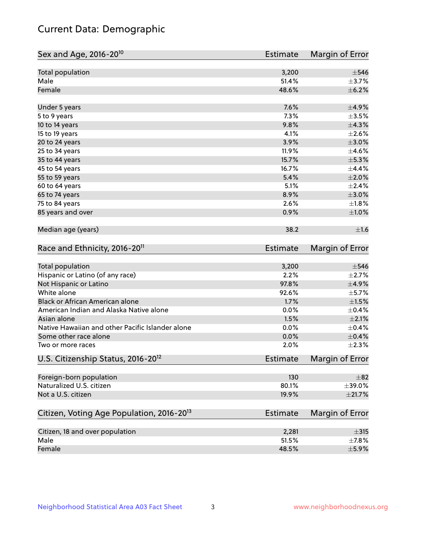## Current Data: Demographic

| Sex and Age, 2016-20 <sup>10</sup>                    | <b>Estimate</b> | Margin of Error |
|-------------------------------------------------------|-----------------|-----------------|
| Total population                                      | 3,200           | $\pm$ 546       |
| Male                                                  | 51.4%           | $\pm$ 3.7%      |
| Female                                                | 48.6%           | $\pm$ 6.2%      |
| Under 5 years                                         | 7.6%            | $\pm$ 4.9%      |
| 5 to 9 years                                          | 7.3%            | $\pm 3.5\%$     |
| 10 to 14 years                                        | 9.8%            | ±4.3%           |
| 15 to 19 years                                        | 4.1%            | $\pm 2.6\%$     |
| 20 to 24 years                                        | 3.9%            | $\pm 3.0\%$     |
| 25 to 34 years                                        | 11.9%           | $\pm 4.6\%$     |
| 35 to 44 years                                        | 15.7%           | $\pm$ 5.3%      |
| 45 to 54 years                                        | 16.7%           | ±4.4%           |
| 55 to 59 years                                        | 5.4%            | $\pm 2.0\%$     |
| 60 to 64 years                                        | 5.1%            | $\pm 2.4\%$     |
| 65 to 74 years                                        | 8.9%            | $\pm 3.0\%$     |
| 75 to 84 years                                        | 2.6%            | $\pm1.8\%$      |
| 85 years and over                                     | 0.9%            | ±1.0%           |
| Median age (years)                                    | 38.2            | ±1.6            |
| Race and Ethnicity, 2016-20 <sup>11</sup>             | <b>Estimate</b> | Margin of Error |
| <b>Total population</b>                               | 3,200           | $\pm$ 546       |
| Hispanic or Latino (of any race)                      | 2.2%            | $\pm 2.7\%$     |
| Not Hispanic or Latino                                | 97.8%           | $\pm$ 4.9%      |
| White alone                                           | 92.6%           | $\pm$ 5.7%      |
| Black or African American alone                       | 1.7%            | $\pm 1.5\%$     |
| American Indian and Alaska Native alone               | 0.0%            | $\pm$ 0.4%      |
| Asian alone                                           | 1.5%            | $\pm 2.1\%$     |
| Native Hawaiian and other Pacific Islander alone      | 0.0%            | $\pm$ 0.4%      |
| Some other race alone                                 | 0.0%            | $\pm$ 0.4%      |
| Two or more races                                     | 2.0%            | $\pm 2.3\%$     |
| U.S. Citizenship Status, 2016-20 <sup>12</sup>        | <b>Estimate</b> | Margin of Error |
| Foreign-born population                               | 130             | $\pm$ 82        |
| Naturalized U.S. citizen                              | 80.1%           | $\pm$ 39.0%     |
| Not a U.S. citizen                                    | 19.9%           | ±21.7%          |
| Citizen, Voting Age Population, 2016-20 <sup>13</sup> | <b>Estimate</b> | Margin of Error |
|                                                       |                 |                 |
| Citizen, 18 and over population                       | 2,281           | $\pm$ 315       |
| Male                                                  | 51.5%           | $\pm$ 7.8%      |
| Female                                                | 48.5%           | $\pm$ 5.9%      |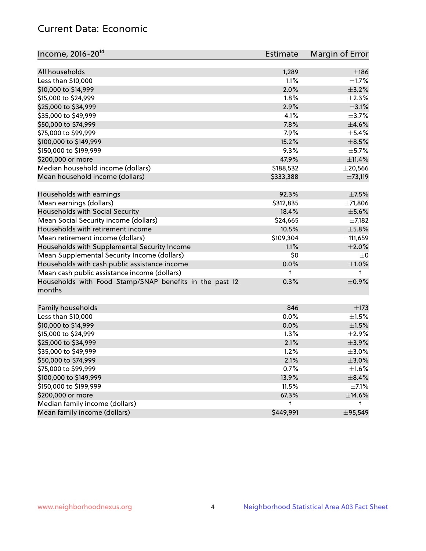## Current Data: Economic

| All households                                                            | $\pm$ 186    |
|---------------------------------------------------------------------------|--------------|
| 1,289<br>Less than \$10,000<br>1.1%                                       | $\pm 1.7\%$  |
| 2.0%                                                                      | $\pm$ 3.2%   |
| \$10,000 to \$14,999<br>\$15,000 to \$24,999                              |              |
| 1.8%                                                                      | $\pm 2.3\%$  |
| \$25,000 to \$34,999<br>2.9%                                              | $\pm$ 3.1%   |
| \$35,000 to \$49,999<br>4.1%                                              | $\pm$ 3.7%   |
| \$50,000 to \$74,999<br>7.8%                                              | $\pm 4.6\%$  |
| \$75,000 to \$99,999<br>7.9%                                              | $\pm$ 5.4%   |
| 15.2%<br>\$100,000 to \$149,999                                           | $\pm$ 8.5%   |
| 9.3%<br>\$150,000 to \$199,999                                            | $\pm$ 5.7%   |
| 47.9%<br>\$200,000 or more                                                | ±11.4%       |
| Median household income (dollars)<br>\$188,532                            | $\pm$ 20,566 |
| Mean household income (dollars)<br>\$333,388                              | ±73,119      |
| Households with earnings<br>92.3%                                         | $\pm$ 7.5%   |
| Mean earnings (dollars)<br>\$312,835                                      | ±71,806      |
| Households with Social Security<br>18.4%                                  | $\pm$ 5.6%   |
| Mean Social Security income (dollars)<br>\$24,665                         | $\pm$ 7,182  |
| Households with retirement income<br>10.5%                                | $\pm$ 5.8%   |
| Mean retirement income (dollars)<br>\$109,304                             | ±111,659     |
| Households with Supplemental Security Income<br>1.1%                      | $\pm 2.0\%$  |
| Mean Supplemental Security Income (dollars)<br>\$0                        | $\pm 0$      |
| Households with cash public assistance income<br>0.0%                     | $\pm 1.0\%$  |
| Mean cash public assistance income (dollars)<br>t                         | $\ddagger$   |
| Households with Food Stamp/SNAP benefits in the past 12<br>0.3%<br>months | $\pm$ 0.9%   |
| Family households<br>846                                                  | $\pm$ 173    |
| Less than \$10,000<br>0.0%                                                | $\pm 1.5\%$  |
| \$10,000 to \$14,999<br>0.0%                                              | $\pm 1.5\%$  |
| \$15,000 to \$24,999<br>1.3%                                              | ±2.9%        |
| \$25,000 to \$34,999<br>2.1%                                              | $\pm$ 3.9%   |
| \$35,000 to \$49,999<br>1.2%                                              | $\pm 3.0\%$  |
| \$50,000 to \$74,999<br>2.1%                                              | $\pm 3.0\%$  |
| \$75,000 to \$99,999<br>0.7%                                              | $\pm 1.6\%$  |
| \$100,000 to \$149,999<br>13.9%                                           | $\pm$ 8.4%   |
| \$150,000 to \$199,999<br>11.5%                                           | $\pm$ 7.1%   |
| \$200,000 or more<br>67.3%                                                | $\pm$ 14.6%  |
| Median family income (dollars)<br>t                                       | t            |
| Mean family income (dollars)<br>\$449,991                                 | ±95,549      |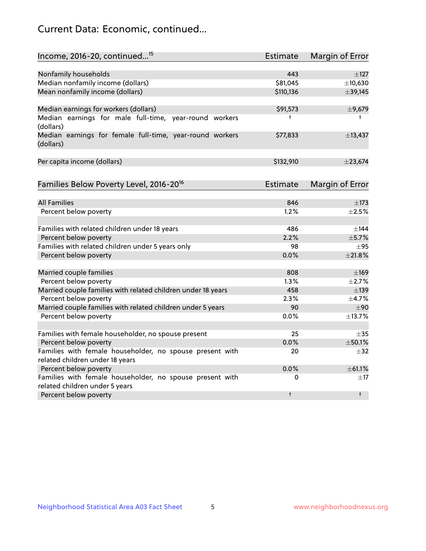## Current Data: Economic, continued...

| Income, 2016-20, continued <sup>15</sup>                                                   | <b>Estimate</b> | <b>Margin of Error</b> |
|--------------------------------------------------------------------------------------------|-----------------|------------------------|
|                                                                                            |                 |                        |
| Nonfamily households                                                                       | 443             | $\pm$ 127              |
| Median nonfamily income (dollars)                                                          | \$81,045        | ±10,630                |
| Mean nonfamily income (dollars)                                                            | \$110,136       | ±39,145                |
| Median earnings for workers (dollars)                                                      | \$91,573        | ±9,679                 |
| Median earnings for male full-time, year-round workers<br>(dollars)                        | t               | $^{\dagger}$           |
| Median earnings for female full-time, year-round workers<br>(dollars)                      | \$77,833        | ±13,437                |
| Per capita income (dollars)                                                                | \$132,910       | $±$ 23,674             |
| Families Below Poverty Level, 2016-20 <sup>16</sup>                                        | <b>Estimate</b> | <b>Margin of Error</b> |
|                                                                                            |                 |                        |
| <b>All Families</b>                                                                        | 846             | $\pm$ 173              |
| Percent below poverty                                                                      | 1.2%            | $\pm 2.5\%$            |
| Families with related children under 18 years                                              | 486             | $\pm$ 144              |
| Percent below poverty                                                                      | 2.2%            | ±5.7%                  |
| Families with related children under 5 years only                                          | 98              | $\pm$ 95               |
| Percent below poverty                                                                      | 0.0%            | ±21.8%                 |
| Married couple families                                                                    | 808             | $\pm$ 169              |
| Percent below poverty                                                                      | 1.3%            | ±2.7%                  |
| Married couple families with related children under 18 years                               | 458             | $\pm$ 139              |
| Percent below poverty                                                                      | 2.3%            | ±4.7%                  |
| Married couple families with related children under 5 years                                | 90              | ±90                    |
| Percent below poverty                                                                      | $0.0\%$         | ±13.7%                 |
|                                                                                            |                 |                        |
| Families with female householder, no spouse present                                        | 25              | $\pm$ 35               |
| Percent below poverty                                                                      | 0.0%            | ±50.1%                 |
| Families with female householder, no spouse present with                                   | 20              | $\pm$ 32               |
| related children under 18 years                                                            |                 |                        |
| Percent below poverty                                                                      | 0.0%            | ±61.1%                 |
| Families with female householder, no spouse present with<br>related children under 5 years | 0               | $\pm$ 17               |
| Percent below poverty                                                                      | $\ddagger$      | $^{\dagger}$           |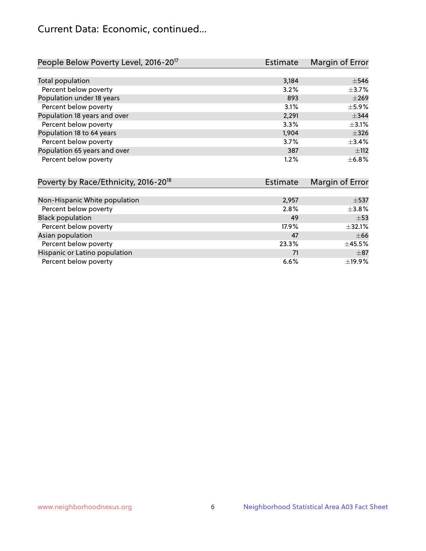## Current Data: Economic, continued...

| People Below Poverty Level, 2016-20 <sup>17</sup> | <b>Estimate</b> | Margin of Error |
|---------------------------------------------------|-----------------|-----------------|
|                                                   |                 |                 |
| Total population                                  | 3,184           | $\pm$ 546       |
| Percent below poverty                             | 3.2%            | $\pm$ 3.7%      |
| Population under 18 years                         | 893             | $\pm 269$       |
| Percent below poverty                             | 3.1%            | $\pm$ 5.9%      |
| Population 18 years and over                      | 2,291           | $\pm$ 344       |
| Percent below poverty                             | 3.3%            | $\pm$ 3.1%      |
| Population 18 to 64 years                         | 1,904           | $\pm$ 326       |
| Percent below poverty                             | 3.7%            | ±3.4%           |
| Population 65 years and over                      | 387             | ±112            |
| Percent below poverty                             | 1.2%            | $\pm$ 6.8%      |

| Poverty by Race/Ethnicity, 2016-20 <sup>18</sup> | <b>Estimate</b> | Margin of Error |
|--------------------------------------------------|-----------------|-----------------|
|                                                  |                 |                 |
| Non-Hispanic White population                    | 2,957           | $\pm$ 537       |
| Percent below poverty                            | 2.8%            | $\pm$ 3.8%      |
| <b>Black population</b>                          | 49              | $+53$           |
| Percent below poverty                            | 17.9%           | ±32.1%          |
| Asian population                                 | 47              | $\pm 66$        |
| Percent below poverty                            | 23.3%           | $\pm$ 45.5%     |
| Hispanic or Latino population                    | 71              | $\pm$ 87        |
| Percent below poverty                            | 6.6%            | ±19.9%          |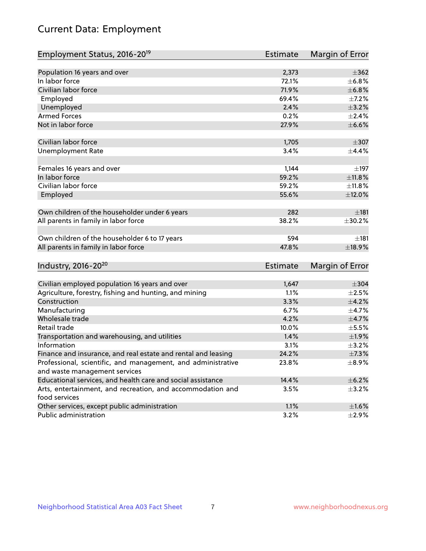# Current Data: Employment

| Employment Status, 2016-20 <sup>19</sup>                      | <b>Estimate</b> | Margin of Error |
|---------------------------------------------------------------|-----------------|-----------------|
|                                                               |                 |                 |
| Population 16 years and over                                  | 2,373           | $\pm$ 362       |
| In labor force                                                | 72.1%           | ±6.8%           |
| Civilian labor force                                          | 71.9%           | ±6.8%           |
| Employed                                                      | 69.4%           | $\pm$ 7.2%      |
| Unemployed                                                    | 2.4%            | $\pm$ 3.2%      |
| <b>Armed Forces</b>                                           | 0.2%            | $\pm 2.4\%$     |
| Not in labor force                                            | 27.9%           | $\pm$ 6.6%      |
|                                                               |                 |                 |
| Civilian labor force                                          | 1,705           | $\pm$ 307       |
| <b>Unemployment Rate</b>                                      | 3.4%            | $\pm$ 4.4%      |
| Females 16 years and over                                     | 1,144           | $\pm$ 197       |
| In labor force                                                | 59.2%           | $\pm$ 11.8%     |
| Civilian labor force                                          | 59.2%           | ±11.8%          |
| Employed                                                      | 55.6%           | ±12.0%          |
|                                                               |                 |                 |
| Own children of the householder under 6 years                 | 282             | ±181            |
| All parents in family in labor force                          | 38.2%           | ±30.2%          |
|                                                               |                 |                 |
| Own children of the householder 6 to 17 years                 | 594             | $\pm$ 181       |
| All parents in family in labor force                          | 47.8%           | ±18.9%          |
|                                                               |                 |                 |
| Industry, 2016-20 <sup>20</sup>                               | Estimate        | Margin of Error |
|                                                               |                 |                 |
| Civilian employed population 16 years and over                | 1,647           | $\pm$ 304       |
| Agriculture, forestry, fishing and hunting, and mining        | 1.1%            | $\pm 2.5\%$     |
| Construction                                                  | 3.3%            | $\pm$ 4.2%      |
| Manufacturing                                                 | 6.7%            | $\pm$ 4.7%      |
| Wholesale trade                                               | 4.2%            | $\pm$ 4.7%      |
| Retail trade                                                  | 10.0%           | $\pm$ 5.5%      |
| Transportation and warehousing, and utilities                 | 1.4%            | $\pm$ 1.9%      |
| Information                                                   | 3.1%            | $\pm$ 3.2%      |
| Finance and insurance, and real estate and rental and leasing | 24.2%           | ±7.3%           |
| Professional, scientific, and management, and administrative  | 23.8%           | $\pm$ 8.9%      |
| and waste management services                                 |                 |                 |
| Educational services, and health care and social assistance   | 14.4%           | $\pm$ 6.2%      |
| Arts, entertainment, and recreation, and accommodation and    | 3.5%            | $\pm$ 3.2%      |
| food services                                                 |                 |                 |
| Other services, except public administration                  | 1.1%            | ±1.6%           |
| Public administration                                         | 3.2%            | $\pm 2.9\%$     |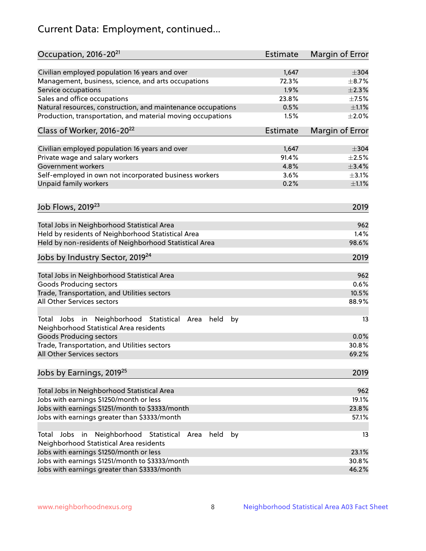# Current Data: Employment, continued...

| Occupation, 2016-20 <sup>21</sup>                                                                       | <b>Estimate</b> | Margin of Error |
|---------------------------------------------------------------------------------------------------------|-----------------|-----------------|
| Civilian employed population 16 years and over                                                          | 1,647           | $\pm$ 304       |
| Management, business, science, and arts occupations                                                     | 72.3%           | $\pm$ 8.7%      |
| Service occupations                                                                                     | 1.9%            | $\pm 2.3\%$     |
| Sales and office occupations                                                                            | 23.8%           | $\pm$ 7.5%      |
| Natural resources, construction, and maintenance occupations                                            | 0.5%            | $\pm 1.1\%$     |
| Production, transportation, and material moving occupations                                             | 1.5%            | $\pm 2.0\%$     |
| Class of Worker, 2016-20 <sup>22</sup>                                                                  | <b>Estimate</b> | Margin of Error |
| Civilian employed population 16 years and over                                                          | 1,647           | $\pm$ 304       |
| Private wage and salary workers                                                                         | 91.4%           | $\pm 2.5\%$     |
| Government workers                                                                                      | 4.8%            | ±3.4%           |
| Self-employed in own not incorporated business workers                                                  | 3.6%            | $\pm$ 3.1%      |
| Unpaid family workers                                                                                   | 0.2%            | $\pm 1.1\%$     |
| Job Flows, 2019 <sup>23</sup>                                                                           |                 | 2019            |
|                                                                                                         |                 |                 |
| Total Jobs in Neighborhood Statistical Area                                                             |                 | 962             |
| Held by residents of Neighborhood Statistical Area                                                      |                 | 1.4%            |
| Held by non-residents of Neighborhood Statistical Area                                                  |                 | 98.6%           |
| Jobs by Industry Sector, 2019 <sup>24</sup>                                                             |                 | 2019            |
| Total Jobs in Neighborhood Statistical Area                                                             |                 | 962             |
| <b>Goods Producing sectors</b>                                                                          |                 | 0.6%            |
| Trade, Transportation, and Utilities sectors                                                            |                 | 10.5%           |
| All Other Services sectors                                                                              |                 | 88.9%           |
| Total Jobs in Neighborhood Statistical<br>held<br>by<br>Area<br>Neighborhood Statistical Area residents |                 | 13              |
| <b>Goods Producing sectors</b>                                                                          |                 | 0.0%            |
| Trade, Transportation, and Utilities sectors                                                            |                 | 30.8%           |
| All Other Services sectors                                                                              |                 | 69.2%           |
| Jobs by Earnings, 2019 <sup>25</sup>                                                                    |                 | 2019            |
| Total Jobs in Neighborhood Statistical Area                                                             |                 | 962             |
| Jobs with earnings \$1250/month or less                                                                 |                 | 19.1%           |
| Jobs with earnings \$1251/month to \$3333/month                                                         |                 | 23.8%           |
| Jobs with earnings greater than \$3333/month                                                            |                 | 57.1%           |
| Neighborhood Statistical<br>Jobs<br>in<br>held<br>by<br>Total<br>Area                                   |                 | 13              |
| Neighborhood Statistical Area residents                                                                 |                 |                 |
| Jobs with earnings \$1250/month or less                                                                 |                 | 23.1%           |
| Jobs with earnings \$1251/month to \$3333/month                                                         |                 | 30.8%           |
| Jobs with earnings greater than \$3333/month                                                            |                 | 46.2%           |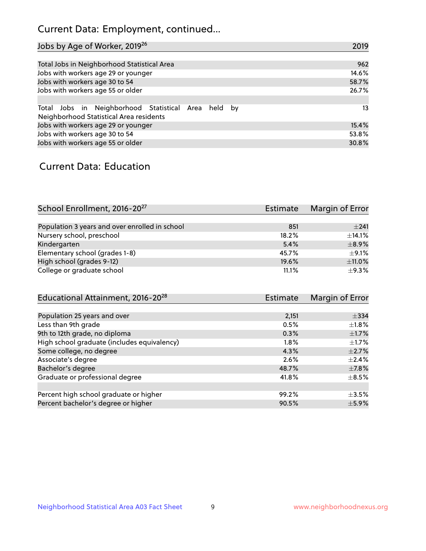## Current Data: Employment, continued...

| Jobs by Age of Worker, 2019 <sup>26</sup>                                                      | 2019  |
|------------------------------------------------------------------------------------------------|-------|
|                                                                                                |       |
| Total Jobs in Neighborhood Statistical Area                                                    | 962   |
| Jobs with workers age 29 or younger                                                            | 14.6% |
| Jobs with workers age 30 to 54                                                                 | 58.7% |
| Jobs with workers age 55 or older                                                              | 26.7% |
|                                                                                                |       |
| Total Jobs in Neighborhood Statistical Area held by<br>Neighborhood Statistical Area residents | 13    |
| Jobs with workers age 29 or younger                                                            | 15.4% |
| Jobs with workers age 30 to 54                                                                 | 53.8% |
| Jobs with workers age 55 or older                                                              | 30.8% |

### Current Data: Education

| School Enrollment, 2016-20 <sup>27</sup>       | <b>Estimate</b> | Margin of Error |
|------------------------------------------------|-----------------|-----------------|
|                                                |                 |                 |
| Population 3 years and over enrolled in school | 851             | ±241            |
| Nursery school, preschool                      | 18.2%           | $+14.1%$        |
| Kindergarten                                   | 5.4%            | $\pm$ 8.9%      |
| Elementary school (grades 1-8)                 | 45.7%           | $+9.1%$         |
| High school (grades 9-12)                      | 19.6%           | ±11.0%          |
| College or graduate school                     | 11.1%           | $+9.3%$         |

| Educational Attainment, 2016-20 <sup>28</sup> | <b>Estimate</b> | Margin of Error |
|-----------------------------------------------|-----------------|-----------------|
|                                               |                 |                 |
| Population 25 years and over                  | 2,151           | $\pm$ 334       |
| Less than 9th grade                           | 0.5%            | $\pm 1.8\%$     |
| 9th to 12th grade, no diploma                 | 0.3%            | $\pm$ 1.7%      |
| High school graduate (includes equivalency)   | $1.8\%$         | $\pm 1.7\%$     |
| Some college, no degree                       | 4.3%            | $\pm 2.7\%$     |
| Associate's degree                            | 2.6%            | $\pm$ 2.4%      |
| Bachelor's degree                             | 48.7%           | $\pm$ 7.8%      |
| Graduate or professional degree               | 41.8%           | $\pm$ 8.5%      |
|                                               |                 |                 |
| Percent high school graduate or higher        | 99.2%           | $\pm$ 3.5%      |
| Percent bachelor's degree or higher           | 90.5%           | $\pm$ 5.9%      |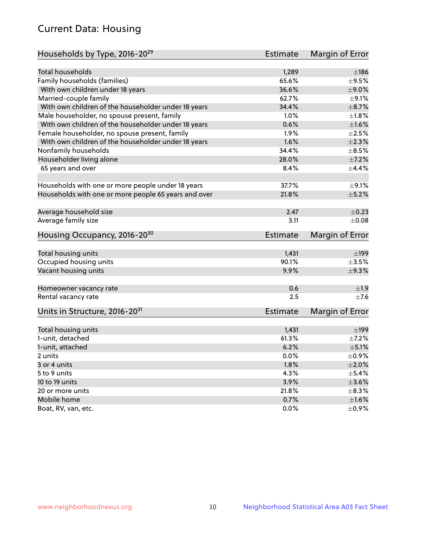## Current Data: Housing

| Households by Type, 2016-20 <sup>29</sup>            | Estimate        | Margin of Error |
|------------------------------------------------------|-----------------|-----------------|
|                                                      |                 |                 |
| Total households                                     | 1,289           | ±186            |
| Family households (families)                         | 65.6%           | $\pm$ 9.5%      |
| With own children under 18 years                     | 36.6%           | $\pm$ 9.0%      |
| Married-couple family                                | 62.7%           | $\pm$ 9.1%      |
| With own children of the householder under 18 years  | 34.4%           | $\pm$ 8.7%      |
| Male householder, no spouse present, family          | 1.0%            | $\pm1.8\%$      |
| With own children of the householder under 18 years  | 0.6%            | $\pm1.6\%$      |
| Female householder, no spouse present, family        | 1.9%            | $\pm 2.5\%$     |
| With own children of the householder under 18 years  | 1.6%            | $\pm 2.3\%$     |
| Nonfamily households                                 | 34.4%           | $\pm$ 8.5%      |
| Householder living alone                             | 28.0%           | $\pm$ 7.2%      |
| 65 years and over                                    | 8.4%            | $\pm$ 4.4%      |
|                                                      |                 |                 |
| Households with one or more people under 18 years    | 37.7%           | $\pm$ 9.1%      |
| Households with one or more people 65 years and over | 21.8%           | $\pm$ 5.2%      |
| Average household size                               | 2.47            | $\pm$ 0.23      |
| Average family size                                  | 3.11            | $\pm 0.08$      |
| Housing Occupancy, 2016-20 <sup>30</sup>             | <b>Estimate</b> | Margin of Error |
| Total housing units                                  | 1,431           | $\pm$ 199       |
| Occupied housing units                               | 90.1%           | $\pm 3.5\%$     |
| Vacant housing units                                 | 9.9%            | $\pm$ 9.3%      |
|                                                      |                 |                 |
| Homeowner vacancy rate                               | 0.6             | ±1.9            |
| Rental vacancy rate                                  | 2.5             | $\pm$ 7.6       |
| Units in Structure, 2016-20 <sup>31</sup>            | <b>Estimate</b> | Margin of Error |
| Total housing units                                  | 1,431           | $\pm$ 199       |
| 1-unit, detached                                     | 61.3%           | $\pm$ 7.2%      |
| 1-unit, attached                                     | 6.2%            | $\pm$ 5.1%      |
| 2 units                                              | 0.0%            | $\pm$ 0.9%      |
| 3 or 4 units                                         | 1.8%            | $\pm 2.0\%$     |
| 5 to 9 units                                         | 4.3%            | $\pm$ 5.4%      |
|                                                      | 3.9%            | $\pm 3.6\%$     |
| 10 to 19 units                                       | 21.8%           | $\pm$ 8.3%      |
| 20 or more units                                     |                 |                 |
| Mobile home                                          | 0.7%            | $\pm1.6\%$      |
| Boat, RV, van, etc.                                  | 0.0%            | $\pm$ 0.9%      |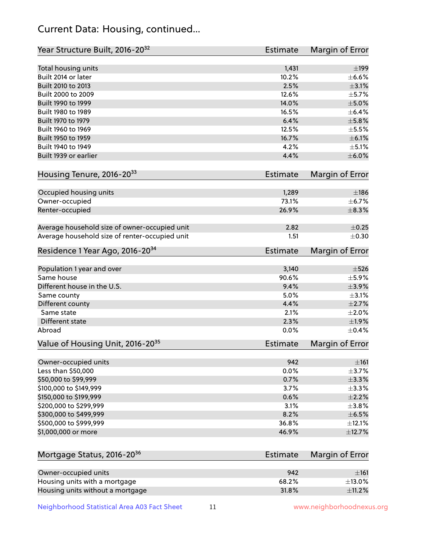## Current Data: Housing, continued...

| Year Structure Built, 2016-20 <sup>32</sup>    | <b>Estimate</b> | <b>Margin of Error</b> |
|------------------------------------------------|-----------------|------------------------|
| Total housing units                            | 1,431           | $\pm$ 199              |
| Built 2014 or later                            | 10.2%           | $\pm$ 6.6%             |
| Built 2010 to 2013                             | 2.5%            | $\pm$ 3.1%             |
| Built 2000 to 2009                             | 12.6%           | $\pm$ 5.7%             |
| Built 1990 to 1999                             | 14.0%           | $\pm$ 5.0%             |
| Built 1980 to 1989                             | 16.5%           | $\pm$ 6.4%             |
| Built 1970 to 1979                             | 6.4%            | $\pm$ 5.8%             |
| Built 1960 to 1969                             | 12.5%           | $\pm$ 5.5%             |
| Built 1950 to 1959                             | 16.7%           | $\pm$ 6.1%             |
| Built 1940 to 1949                             | 4.2%            | $\pm$ 5.1%             |
| Built 1939 or earlier                          | 4.4%            | $\pm$ 6.0%             |
| Housing Tenure, 2016-2033                      | <b>Estimate</b> | <b>Margin of Error</b> |
|                                                |                 | ±186                   |
| Occupied housing units                         | 1,289<br>73.1%  | ±6.7%                  |
| Owner-occupied                                 | 26.9%           | $\pm$ 8.3%             |
| Renter-occupied                                |                 |                        |
| Average household size of owner-occupied unit  | 2.82            | $\pm$ 0.25             |
| Average household size of renter-occupied unit | 1.51            | $\pm$ 0.30             |
| Residence 1 Year Ago, 2016-20 <sup>34</sup>    | Estimate        | <b>Margin of Error</b> |
| Population 1 year and over                     | 3,140           | $\pm$ 526              |
| Same house                                     | 90.6%           | $\pm$ 5.9%             |
| Different house in the U.S.                    | 9.4%            | $\pm$ 3.9%             |
| Same county                                    | 5.0%            | $\pm$ 3.1%             |
| Different county                               | 4.4%            | $\pm 2.7\%$            |
| Same state                                     | 2.1%            | $\pm 2.0\%$            |
| Different state                                | 2.3%            | ±1.9%                  |
| Abroad                                         | 0.0%            | $\pm$ 0.4%             |
| Value of Housing Unit, 2016-20 <sup>35</sup>   | <b>Estimate</b> | Margin of Error        |
| Owner-occupied units                           | 942             | ±161                   |
| Less than \$50,000                             | 0.0%            | $\pm$ 3.7%             |
| \$50,000 to \$99,999                           | 0.7%            | $\pm$ 3.3%             |
| \$100,000 to \$149,999                         | 3.7%            | ±3.3%                  |
| \$150,000 to \$199,999                         | 0.6%            | $\pm 2.2\%$            |
| \$200,000 to \$299,999                         | 3.1%            | ±3.8%                  |
| \$300,000 to \$499,999                         | 8.2%            | $\pm$ 6.5%             |
| \$500,000 to \$999,999                         | 36.8%           | $\pm$ 12.1%            |
| \$1,000,000 or more                            | 46.9%           | ±12.7%                 |
| Mortgage Status, 2016-20 <sup>36</sup>         | <b>Estimate</b> | Margin of Error        |
| Owner-occupied units                           | 942             | ±161                   |
| Housing units with a mortgage                  | 68.2%           | $\pm$ 13.0%            |

Neighborhood Statistical Area A03 Fact Sheet 11 11 www.neighborhoodnexus.org

Housing units without a mortgage  $\pm 11.2\%$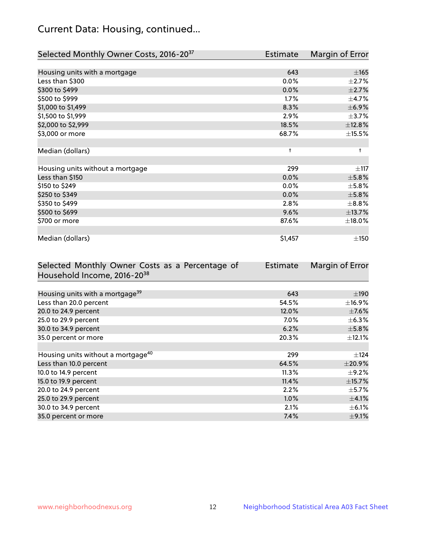## Current Data: Housing, continued...

| Selected Monthly Owner Costs, 2016-20 <sup>37</sup> | <b>Estimate</b> | Margin of Error |
|-----------------------------------------------------|-----------------|-----------------|
|                                                     |                 |                 |
| Housing units with a mortgage                       | 643             | $\pm 165$       |
| Less than \$300                                     | 0.0%            | $\pm 2.7\%$     |
| \$300 to \$499                                      | 0.0%            | $\pm 2.7\%$     |
| \$500 to \$999                                      | 1.7%            | $\pm$ 4.7%      |
| \$1,000 to \$1,499                                  | 8.3%            | $\pm$ 6.9%      |
| \$1,500 to \$1,999                                  | 2.9%            | $\pm$ 3.7%      |
| \$2,000 to \$2,999                                  | 18.5%           | ±12.8%          |
| \$3,000 or more                                     | 68.7%           | $\pm$ 15.5%     |
|                                                     |                 |                 |
| Median (dollars)                                    | $\ddagger$      | $\ddagger$      |
|                                                     |                 |                 |
| Housing units without a mortgage                    | 299             | $\pm$ 117       |
| Less than \$150                                     | 0.0%            | $\pm$ 5.8%      |
| \$150 to \$249                                      | 0.0%            | $\pm$ 5.8%      |
| \$250 to \$349                                      | 0.0%            | $\pm$ 5.8%      |
| \$350 to \$499                                      | 2.8%            | $\pm$ 8.8%      |
| \$500 to \$699                                      | 9.6%            | ±13.7%          |
| \$700 or more                                       | 87.6%           | $\pm$ 18.0%     |
|                                                     |                 |                 |
| Median (dollars)                                    | \$1,457         | $\pm$ 150       |

| Selected Monthly Owner Costs as a Percentage of | <b>Estimate</b> | Margin of Error |
|-------------------------------------------------|-----------------|-----------------|
| Household Income, 2016-20 <sup>38</sup>         |                 |                 |
|                                                 |                 |                 |
| Housing units with a mortgage <sup>39</sup>     | 643             | $\pm$ 190       |
| Less than 20.0 percent                          | 54.5%           | $\pm$ 16.9%     |
| 20.0 to 24.9 percent                            | 12.0%           | $\pm$ 7.6%      |
| 25.0 to 29.9 percent                            | $7.0\%$         | $\pm$ 6.3%      |
| 30.0 to 34.9 percent                            | 6.2%            | $\pm$ 5.8%      |
| 35.0 percent or more                            | 20.3%           | $\pm$ 12.1%     |
|                                                 |                 |                 |
| Housing units without a mortgage <sup>40</sup>  | 299             | $\pm$ 124       |
| Less than 10.0 percent                          | 64.5%           | $\pm$ 20.9%     |
| 10.0 to 14.9 percent                            | 11.3%           | $\pm$ 9.2%      |
| 15.0 to 19.9 percent                            | 11.4%           | $\pm$ 15.7%     |
| 20.0 to 24.9 percent                            | 2.2%            | $\pm$ 5.7%      |
| 25.0 to 29.9 percent                            | $1.0\%$         | $\pm$ 4.1%      |
| 30.0 to 34.9 percent                            | 2.1%            | $\pm$ 6.1%      |
| 35.0 percent or more                            | 7.4%            | $\pm$ 9.1%      |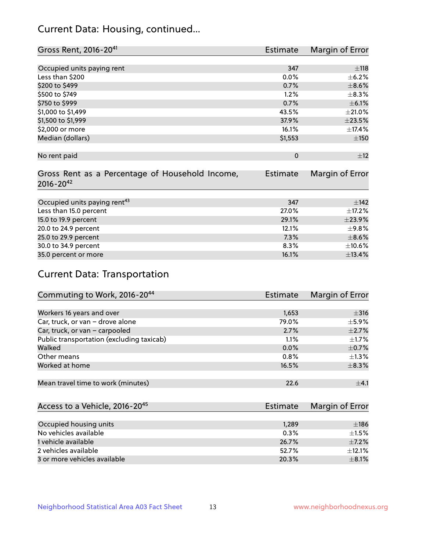## Current Data: Housing, continued...

| Gross Rent, 2016-20 <sup>41</sup>               | <b>Estimate</b> | Margin of Error |
|-------------------------------------------------|-----------------|-----------------|
|                                                 |                 |                 |
| Occupied units paying rent                      | 347             | ±118            |
| Less than \$200                                 | 0.0%            | $\pm$ 6.2%      |
| \$200 to \$499                                  | 0.7%            | $\pm$ 8.6%      |
| \$500 to \$749                                  | 1.2%            | $\pm$ 8.3%      |
| \$750 to \$999                                  | 0.7%            | $\pm$ 6.1%      |
| \$1,000 to \$1,499                              | 43.5%           | $\pm 21.0\%$    |
| \$1,500 to \$1,999                              | 37.9%           | $\pm 23.5\%$    |
| \$2,000 or more                                 | 16.1%           | ±17.4%          |
| Median (dollars)                                | \$1,553         | $\pm 150$       |
|                                                 |                 |                 |
| No rent paid                                    | $\mathbf 0$     | ±12             |
|                                                 |                 |                 |
| Gross Rent as a Percentage of Household Income, | <b>Estimate</b> | Margin of Error |
| $2016 - 20^{42}$                                |                 |                 |
|                                                 |                 |                 |
| Occupied units paying rent <sup>43</sup>        | 347             | ±142            |
| Less than 15.0 percent                          | 27.0%           | ±17.2%          |
| 15.0 to 19.9 percent                            | 29.1%           | ±23.9%          |
| 20.0 to 24.9 percent                            | 12.1%           | $\pm$ 9.8%      |
| 25.0 to 29.9 percent                            | 7.3%            | $\pm$ 8.6%      |
| 30.0 to 34.9 percent                            | 8.3%            | $\pm 10.6\%$    |
| 35.0 percent or more                            | 16.1%           | ±13.4%          |

# Current Data: Transportation

| Commuting to Work, 2016-20 <sup>44</sup>  | <b>Estimate</b> | Margin of Error |
|-------------------------------------------|-----------------|-----------------|
|                                           |                 |                 |
| Workers 16 years and over                 | 1,653           | $\pm$ 316       |
| Car, truck, or van - drove alone          | 79.0%           | $\pm$ 5.9%      |
| Car, truck, or van - carpooled            | 2.7%            | $\pm 2.7\%$     |
| Public transportation (excluding taxicab) | 1.1%            | $\pm 1.7\%$     |
| Walked                                    | 0.0%            | $\pm$ 0.7%      |
| Other means                               | 0.8%            | $\pm 1.3\%$     |
| Worked at home                            | 16.5%           | $\pm$ 8.3%      |
|                                           |                 |                 |
| Mean travel time to work (minutes)        | 22.6            | $\pm$ 4.1       |

| Access to a Vehicle, 2016-20 <sup>45</sup> | Estimate | Margin of Error |
|--------------------------------------------|----------|-----------------|
|                                            |          |                 |
| Occupied housing units                     | 1,289    | ±186            |
| No vehicles available                      | 0.3%     | $+1.5%$         |
| 1 vehicle available                        | 26.7%    | $\pm$ 7.2%      |
| 2 vehicles available                       | 52.7%    | ±12.1%          |
| 3 or more vehicles available               | 20.3%    | $\pm$ 8.1%      |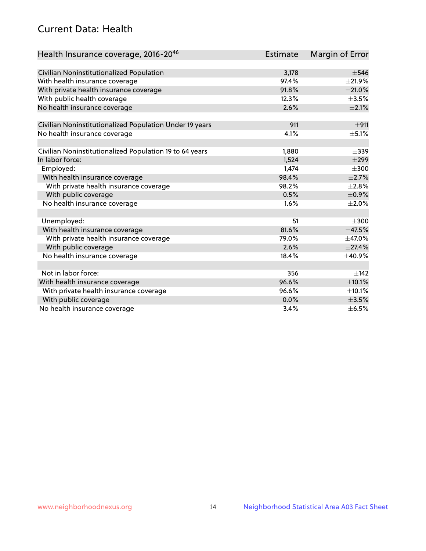## Current Data: Health

| Health Insurance coverage, 2016-2046                    | <b>Estimate</b> | Margin of Error |
|---------------------------------------------------------|-----------------|-----------------|
|                                                         |                 |                 |
| Civilian Noninstitutionalized Population                | 3,178           | $\pm$ 546       |
| With health insurance coverage                          | 97.4%           | $\pm 21.9\%$    |
| With private health insurance coverage                  | 91.8%           | $\pm 21.0\%$    |
| With public health coverage                             | 12.3%           | $\pm$ 3.5%      |
| No health insurance coverage                            | 2.6%            | $\pm 2.1\%$     |
| Civilian Noninstitutionalized Population Under 19 years | 911             | ±911            |
| No health insurance coverage                            | 4.1%            | $\pm$ 5.1%      |
|                                                         |                 |                 |
| Civilian Noninstitutionalized Population 19 to 64 years | 1,880           | $\pm$ 339       |
| In labor force:                                         | 1,524           | $\pm$ 299       |
| Employed:                                               | 1,474           | $\pm 300$       |
| With health insurance coverage                          | 98.4%           | $\pm 2.7\%$     |
| With private health insurance coverage                  | 98.2%           | $\pm 2.8\%$     |
| With public coverage                                    | 0.5%            | $\pm$ 0.9%      |
| No health insurance coverage                            | 1.6%            | $\pm 2.0\%$     |
|                                                         |                 |                 |
| Unemployed:                                             | 51              | $\pm 300$       |
| With health insurance coverage                          | 81.6%           | ±47.5%          |
| With private health insurance coverage                  | 79.0%           | $\pm$ 47.0%     |
| With public coverage                                    | 2.6%            | $\pm 27.4\%$    |
| No health insurance coverage                            | 18.4%           | $\pm$ 40.9%     |
|                                                         |                 |                 |
| Not in labor force:                                     | 356             | $\pm$ 142       |
| With health insurance coverage                          | 96.6%           | $\pm 10.1\%$    |
| With private health insurance coverage                  | 96.6%           | $\pm$ 10.1%     |
| With public coverage                                    | 0.0%            | $\pm$ 3.5%      |
| No health insurance coverage                            | 3.4%            | $\pm$ 6.5%      |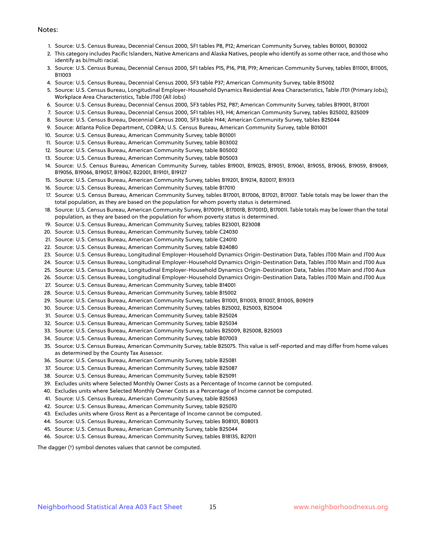#### Notes:

- 1. Source: U.S. Census Bureau, Decennial Census 2000, SF1 tables P8, P12; American Community Survey, tables B01001, B03002
- 2. This category includes Pacific Islanders, Native Americans and Alaska Natives, people who identify as some other race, and those who identify as bi/multi racial.
- 3. Source: U.S. Census Bureau, Decennial Census 2000, SF1 tables P15, P16, P18, P19; American Community Survey, tables B11001, B11005, B11003
- 4. Source: U.S. Census Bureau, Decennial Census 2000, SF3 table P37; American Community Survey, table B15002
- 5. Source: U.S. Census Bureau, Longitudinal Employer-Household Dynamics Residential Area Characteristics, Table JT01 (Primary Jobs); Workplace Area Characteristics, Table JT00 (All Jobs)
- 6. Source: U.S. Census Bureau, Decennial Census 2000, SF3 tables P52, P87; American Community Survey, tables B19001, B17001
- 7. Source: U.S. Census Bureau, Decennial Census 2000, SF1 tables H3, H4; American Community Survey, tables B25002, B25009
- 8. Source: U.S. Census Bureau, Decennial Census 2000, SF3 table H44; American Community Survey, tables B25044
- 9. Source: Atlanta Police Department, COBRA; U.S. Census Bureau, American Community Survey, table B01001
- 10. Source: U.S. Census Bureau, American Community Survey, table B01001
- 11. Source: U.S. Census Bureau, American Community Survey, table B03002
- 12. Source: U.S. Census Bureau, American Community Survey, table B05002
- 13. Source: U.S. Census Bureau, American Community Survey, table B05003
- 14. Source: U.S. Census Bureau, American Community Survey, tables B19001, B19025, B19051, B19061, B19055, B19065, B19059, B19069, B19056, B19066, B19057, B19067, B22001, B19101, B19127
- 15. Source: U.S. Census Bureau, American Community Survey, tables B19201, B19214, B20017, B19313
- 16. Source: U.S. Census Bureau, American Community Survey, table B17010
- 17. Source: U.S. Census Bureau, American Community Survey, tables B17001, B17006, B17021, B17007. Table totals may be lower than the total population, as they are based on the population for whom poverty status is determined.
- 18. Source: U.S. Census Bureau, American Community Survey, B17001H, B17001B, B17001D, B17001I. Table totals may be lower than the total population, as they are based on the population for whom poverty status is determined.
- 19. Source: U.S. Census Bureau, American Community Survey, tables B23001, B23008
- 20. Source: U.S. Census Bureau, American Community Survey, table C24030
- 21. Source: U.S. Census Bureau, American Community Survey, table C24010
- 22. Source: U.S. Census Bureau, American Community Survey, table B24080
- 23. Source: U.S. Census Bureau, Longitudinal Employer-Household Dynamics Origin-Destination Data, Tables JT00 Main and JT00 Aux
- 24. Source: U.S. Census Bureau, Longitudinal Employer-Household Dynamics Origin-Destination Data, Tables JT00 Main and JT00 Aux
- 25. Source: U.S. Census Bureau, Longitudinal Employer-Household Dynamics Origin-Destination Data, Tables JT00 Main and JT00 Aux
- 26. Source: U.S. Census Bureau, Longitudinal Employer-Household Dynamics Origin-Destination Data, Tables JT00 Main and JT00 Aux
- 27. Source: U.S. Census Bureau, American Community Survey, table B14001
- 28. Source: U.S. Census Bureau, American Community Survey, table B15002
- 29. Source: U.S. Census Bureau, American Community Survey, tables B11001, B11003, B11007, B11005, B09019
- 30. Source: U.S. Census Bureau, American Community Survey, tables B25002, B25003, B25004
- 31. Source: U.S. Census Bureau, American Community Survey, table B25024
- 32. Source: U.S. Census Bureau, American Community Survey, table B25034
- 33. Source: U.S. Census Bureau, American Community Survey, tables B25009, B25008, B25003
- 34. Source: U.S. Census Bureau, American Community Survey, table B07003
- 35. Source: U.S. Census Bureau, American Community Survey, table B25075. This value is self-reported and may differ from home values as determined by the County Tax Assessor.
- 36. Source: U.S. Census Bureau, American Community Survey, table B25081
- 37. Source: U.S. Census Bureau, American Community Survey, table B25087
- 38. Source: U.S. Census Bureau, American Community Survey, table B25091
- 39. Excludes units where Selected Monthly Owner Costs as a Percentage of Income cannot be computed.
- 40. Excludes units where Selected Monthly Owner Costs as a Percentage of Income cannot be computed.
- 41. Source: U.S. Census Bureau, American Community Survey, table B25063
- 42. Source: U.S. Census Bureau, American Community Survey, table B25070
- 43. Excludes units where Gross Rent as a Percentage of Income cannot be computed.
- 44. Source: U.S. Census Bureau, American Community Survey, tables B08101, B08013
- 45. Source: U.S. Census Bureau, American Community Survey, table B25044
- 46. Source: U.S. Census Bureau, American Community Survey, tables B18135, B27011

The dagger (†) symbol denotes values that cannot be computed.